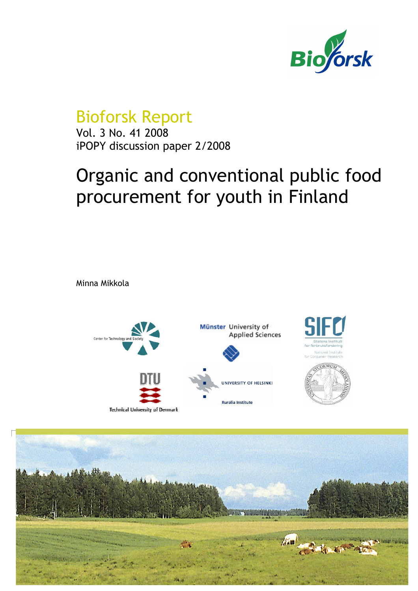

## Bioforsk Report

Vol. 3 No. 41 2008 iPOPY discussion paper 2/2008

# Organic and conventional public food procurement for youth in Finland

Minna Mikkola



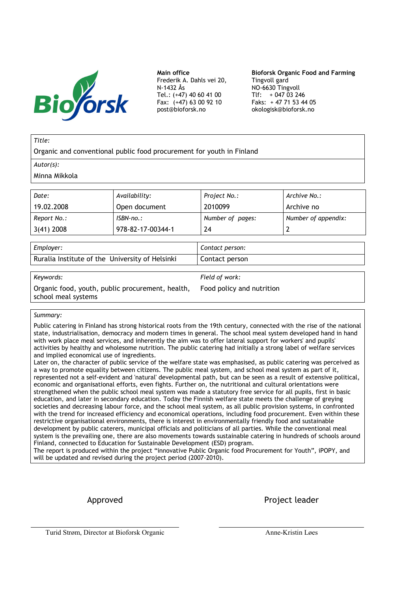

Main office Frederik A. Dahls vei 20, N-1432 Ås Tel.: (+47) 40 60 41 00 Fax: (+47) 63 00 92 10 post@bioforsk.no

Bioforsk Organic Food and Farming Tingvoll gard NO-6630 Tingvoll Tlf:  $+047\,03\,246$ Faks: + 47 71 53 44 05 okologisk@bioforsk.no

#### Title:

Organic and conventional public food procurement for youth in Finland

Autor(s):

Minna Mikkola

| Date:        | Availability:     | Project No.:     | Archive No.:        |
|--------------|-------------------|------------------|---------------------|
| 19.02.2008   | Open document     | 2010099          | Archive no          |
| Report No.:  | $ISBN-no.:$       | Number of pages: | Number of appendix: |
| $3(41)$ 2008 | 978-82-17-00344-1 | 24               |                     |

| Employer:                                       | Contact person: |
|-------------------------------------------------|-----------------|
| Ruralia Institute of the University of Helsinki | Contact person  |
|                                                 |                 |

Keywords: Field of work:

Organic food, youth, public procurement, health, school meal systems Food policy and nutrition

#### Summary:

Public catering in Finland has strong historical roots from the 19th century, connected with the rise of the national state, industrialisation, democracy and modern times in general. The school meal system developed hand in hand with work place meal services, and inherently the aim was to offer lateral support for workers' and pupils' activities by healthy and wholesome nutrition. The public catering had initially a strong label of welfare services and implied economical use of ingredients.

Later on, the character of public service of the welfare state was emphasised, as public catering was perceived as a way to promote equality between citizens. The public meal system, and school meal system as part of it, represented not a self-evident and 'natural' developmental path, but can be seen as a result of extensive political, economic and organisational efforts, even fights. Further on, the nutritional and cultural orientations were strengthened when the public school meal system was made a statutory free service for all pupils, first in basic education, and later in secondary education. Today the Finnish welfare state meets the challenge of greying societies and decreasing labour force, and the school meal system, as all public provision systems, in confronted with the trend for increased efficiency and economical operations, including food procurement. Even within these restrictive organisational environments, there is interest in environmentally friendly food and sustainable development by public caterers, municipal officials and politicians of all parties. While the conventional meal system is the prevailing one, there are also movements towards sustainable catering in hundreds of schools around Finland, connected to Education for Sustainable Development (ESD) program.

The report is produced within the project "innovative Public Organic food Procurement for Youth", iPOPY, and will be updated and revised during the project period (2007-2010).

Approved **Project** leader

Turid Strøm, Director at Bioforsk Organic Anne-Kristin Løes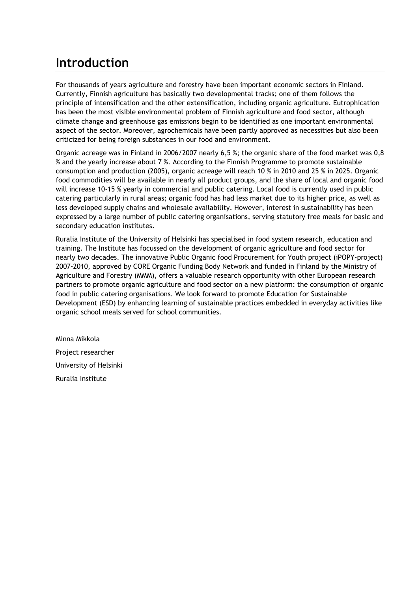### Introduction

For thousands of years agriculture and forestry have been important economic sectors in Finland. Currently, Finnish agriculture has basically two developmental tracks; one of them follows the principle of intensification and the other extensification, including organic agriculture. Eutrophication has been the most visible environmental problem of Finnish agriculture and food sector, although climate change and greenhouse gas emissions begin to be identified as one important environmental aspect of the sector. Moreover, agrochemicals have been partly approved as necessities but also been criticized for being foreign substances in our food and environment.

Organic acreage was in Finland in 2006/2007 nearly 6,5 %; the organic share of the food market was 0,8 % and the yearly increase about 7 %. According to the Finnish Programme to promote sustainable consumption and production (2005), organic acreage will reach 10 % in 2010 and 25 % in 2025. Organic food commodities will be available in nearly all product groups, and the share of local and organic food will increase 10-15 % yearly in commercial and public catering. Local food is currently used in public catering particularly in rural areas; organic food has had less market due to its higher price, as well as less developed supply chains and wholesale availability. However, interest in sustainability has been expressed by a large number of public catering organisations, serving statutory free meals for basic and secondary education institutes.

Ruralia Institute of the University of Helsinki has specialised in food system research, education and training. The Institute has focussed on the development of organic agriculture and food sector for nearly two decades. The innovative Public Organic food Procurement for Youth project (iPOPY-project) 2007-2010, approved by CORE Organic Funding Body Network and funded in Finland by the Ministry of Agriculture and Forestry (MMM), offers a valuable research opportunity with other European research partners to promote organic agriculture and food sector on a new platform: the consumption of organic food in public catering organisations. We look forward to promote Education for Sustainable Development (ESD) by enhancing learning of sustainable practices embedded in everyday activities like organic school meals served for school communities.

Minna Mikkola Project researcher University of Helsinki Ruralia Institute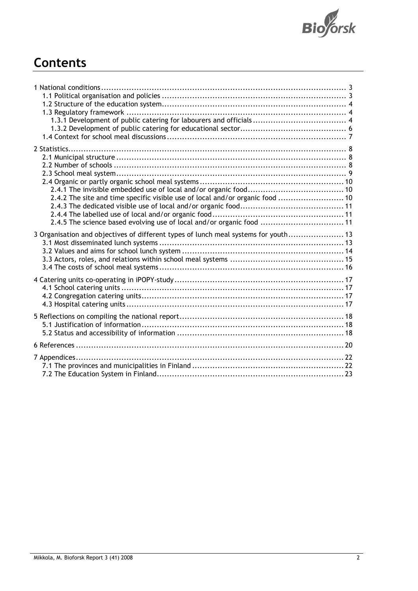

## **Contents**

| 2.4.2 The site and time specific visible use of local and/or organic food  10<br>2.4.5 The science based evolving use of local and/or organic food  11 |  |
|--------------------------------------------------------------------------------------------------------------------------------------------------------|--|
| 3 Organisation and objectives of different types of lunch meal systems for youth 13                                                                    |  |
|                                                                                                                                                        |  |
|                                                                                                                                                        |  |
|                                                                                                                                                        |  |
|                                                                                                                                                        |  |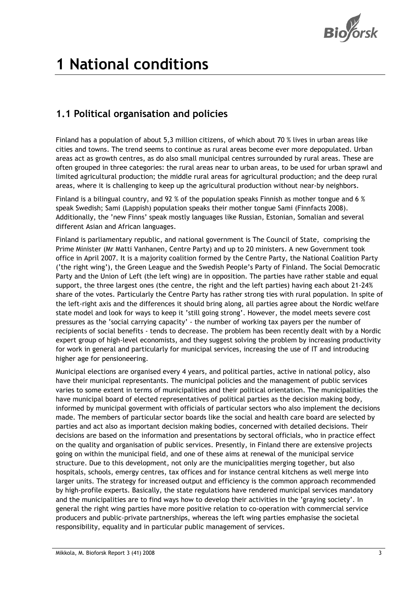

# 1 National conditions

### 1.1 Political organisation and policies

Finland has a population of about 5,3 million citizens, of which about 70 % lives in urban areas like cities and towns. The trend seems to continue as rural areas become ever more depopulated. Urban areas act as growth centres, as do also small municipal centres surrounded by rural areas. These are often grouped in three categories: the rural areas near to urban areas, to be used for urban sprawl and limited agricultural production; the middle rural areas for agricultural production; and the deep rural areas, where it is challenging to keep up the agricultural production without near-by neighbors.

Finland is a bilingual country, and 92 % of the population speaks Finnish as mother tongue and 6 % speak Swedish; Sami (Lappish) population speaks their mother tongue Sami (Finnfacts 2008). Additionally, the 'new Finns' speak mostly languages like Russian, Estonian, Somalian and several different Asian and African languages.

Finland is parliamentary republic, and national government is The Council of State, comprising the Prime Minister (Mr Matti Vanhanen, Centre Party) and up to 20 ministers. A new Government took office in April 2007. It is a majority coalition formed by the Centre Party, the National Coalition Party ('the right wing'), the Green League and the Swedish People's Party of Finland. The Social Democratic Party and the Union of Left (the left wing) are in opposition. The parties have rather stable and equal support, the three largest ones (the centre, the right and the left parties) having each about 21-24% share of the votes. Particularly the Centre Party has rather strong ties with rural population. In spite of the left-right axis and the differences it should bring along, all parties agree about the Nordic welfare state model and look for ways to keep it 'still going strong'. However, the model meets severe cost pressures as the 'social carrying capacity' - the number of working tax payers per the number of recipients of social benefits - tends to decrease. The problem has been recently dealt with by a Nordic expert group of high-level economists, and they suggest solving the problem by increasing productivity for work in general and particularly for municipal services, increasing the use of IT and introducing higher age for pensioneering.

Municipal elections are organised every 4 years, and political parties, active in national policy, also have their municipal representants. The municipal policies and the management of public services varies to some extent in terms of municipalities and their political orientation. The municipalities the have municipal board of elected representatives of political parties as the decision making body, informed by municipal goverment with officials of particular sectors who also implement the decisions made. The members of particular sector boards like the social and health care board are selected by parties and act also as important decision making bodies, concerned with detailed decisions. Their decisions are based on the information and presentations by sectoral officials, who in practice effect on the quality and organisation of public services. Presently, in Finland there are extensive projects going on within the municipal field, and one of these aims at renewal of the municipal service structure. Due to this development, not only are the municipalities merging together, but also hospitals, schools, emergy centres, tax offices and for instance central kitchens as well merge into larger units. The strategy for increased output and efficiency is the common approach recommended by high-profile experts. Basically, the state regulations have rendered municipal services mandatory and the municipalities are to find ways how to develop their activities in the 'graying society'. In general the right wing parties have more positive relation to co-operation with commercial service producers and public-private partnerships, whereas the left wing parties emphasise the societal responsibility, equality and in particular public management of services.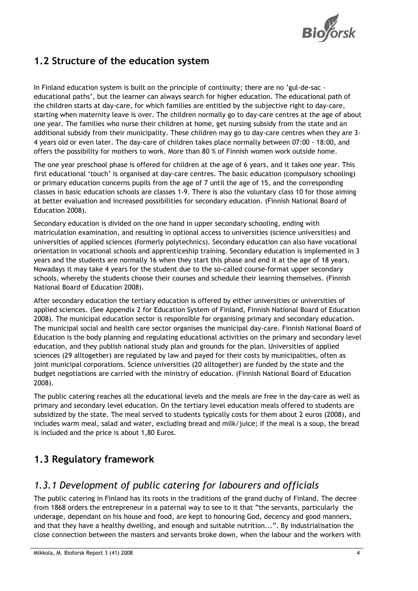

### 1.2 Structure of the education system

In Finland education system is built on the principle of continuity; there are no 'gul-de-sac educational paths', but the learner can always search for higher education. The educational path of the children starts at day-care, for which families are entitled by the subjective right to day-care, starting when maternity leave is over. The children normally go to day-care centres at the age of about one year. The families who nurse their children at home, get nursing subsidy from the state and an additional subsidy from their municipality. These children may go to day-care centres when they are 3- 4 years old or even later. The day-care of children takes place normally between 07:00 - 18:00, and offers the possibility for mothers to work. More than 80 % of Finnish women work outside home.

The one year preschool phase is offered for children at the age of 6 years, and it takes one year. This first educational 'touch' is organised at day-care centres. The basic education (compulsory schooling) or primary education concerns pupils from the age of 7 until the age of 15, and the corresponding classes in basic education schools are classes 1-9. There is also the voluntary class 10 for those aiming at better evaluation and increased possibilities for secondary education. (Finnish National Board of Education 2008).

Secondary education is divided on the one hand in upper secondary schooling, ending with matriculation examination, and resulting in optional access to universities (science universities) and universities of applied sciences (formerly polytechnics). Secondary education can also have vocational orientation in vocational schools and apprenticeship training. Secondary education is implemented in 3 years and the students are normally 16 when they start this phase and end it at the age of 18 years. Nowadays it may take 4 years for the student due to the so-called course-format upper secondary schools, whereby the students choose their courses and schedule their learning themselves. (Finnish National Board of Education 2008).

After secondary education the tertiary education is offered by either universities or universities of applied sciences. (See Appendix 2 for Education System of Finland, Finnish National Board of Education 2008). The municipal education sector is responsible for organising primary and secondary education. The municipal social and health care sector organises the municipal day-care. Finnish National Board of Education is the body planning and regulating educational activities on the primary and secondary level education, and they publish national study plan and grounds for the plan. Universities of applied sciences (29 alltogether) are regulated by law and payed for their costs by municipalities, often as joint municipal corporations. Science universities (20 alltogether) are funded by the state and the budget negotiations are carried with the ministry of education. (Finnish National Board of Education 2008).

The public catering reaches all the educational levels and the meals are free in the day-care as well as primary and secondary level education. On the tertiary level education meals offered to students are subsidized by the state. The meal served to students typically costs for them about 2 euros (2008), and includes warm meal, salad and water, excluding bread and milk/juice; if the meal is a soup, the bread is included and the price is about 1,80 Euros.

### 1.3 Regulatory framework

#### 1.3.1 Development of public catering for labourers and officials

The public catering in Finland has its roots in the traditions of the grand duchy of Finland. The decree from 1868 orders the entrepreneur in a paternal way to see to it that "the servants, particularly the underage, dependant on his house and food, are kept to honouring God, decency and good manners, and that they have a healthy dwelling, and enough and suitable nutrition...". By industrialisation the close connection between the masters and servants broke down, when the labour and the workers with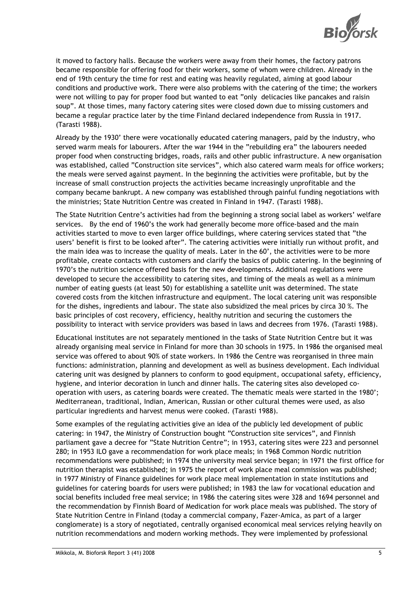

it moved to factory halls. Because the workers were away from their homes, the factory patrons became responsible for offering food for their workers, some of whom were children. Already in the end of 19th century the time for rest and eating was heavily regulated, aiming at good labour conditions and productive work. There were also problems with the catering of the time; the workers were not willing to pay for proper food but wanted to eat "only delicacies like pancakes and raisin soup". At those times, many factory catering sites were closed down due to missing customers and became a regular practice later by the time Finland declared independence from Russia in 1917. (Tarasti 1988).

Already by the 1930' there were vocationally educated catering managers, paid by the industry, who served warm meals for labourers. After the war 1944 in the "rebuilding era" the labourers needed proper food when constructing bridges, roads, rails and other public infrastructure. A new organisation was established, called "Construction site services", which also catered warm meals for office workers; the meals were served against payment. In the beginning the activities were profitable, but by the increase of small construction projects the activities became increasingly unprofitable and the company became bankrupt. A new company was established through painful funding negotiations with the ministries; State Nutrition Centre was created in Finland in 1947. (Tarasti 1988).

The State Nutrition Centre's activities had from the beginning a strong social label as workers' welfare services. By the end of 1960's the work had generally become more office-based and the main activities started to move to even larger office buildings, where catering services stated that "the users' benefit is first to be looked after". The catering activities were initially run without profit, and the main idea was to increase the quality of meals. Later in the 60', the activities were to be more profitable, create contacts with customers and clarify the basics of public catering. In the beginning of 1970's the nutrition science offered basis for the new developments. Additional regulations were developed to secure the accessibility to catering sites, and timing of the meals as well as a minimum number of eating guests (at least 50) for establishing a satellite unit was determined. The state covered costs from the kitchen infrastructure and equipment. The local catering unit was responsible for the dishes, ingredients and labour. The state also subsidized the meal prices by circa 30 %. The basic principles of cost recovery, efficiency, healthy nutrition and securing the customers the possibility to interact with service providers was based in laws and decrees from 1976. (Tarasti 1988).

Educational institutes are not separately mentioned in the tasks of State Nutrition Centre but it was already organising meal service in Finland for more than 30 schools in 1975. In 1986 the organised meal service was offered to about 90% of state workers. In 1986 the Centre was reorganised in three main functions: administration, planning and development as well as business development. Each individual catering unit was designed by planners to conform to good equipment, occupational safety, efficiency, hygiene, and interior decoration in lunch and dinner halls. The catering sites also developed cooperation with users, as catering boards were created. The thematic meals were started in the 1980'; Mediterranean, traditional, Indian, American, Russian or other cultural themes were used, as also particular ingredients and harvest menus were cooked. (Tarasti 1988).

Some examples of the regulating activities give an idea of the publicly led development of public catering: in 1947, the Ministry of Construction bought "Construction site services", and Finnish parliament gave a decree for "State Nutrition Centre"; in 1953, catering sites were 223 and personnel 280; in 1953 ILO gave a recommendation for work place meals; in 1968 Common Nordic nutrition recommendations were published; in 1974 the university meal service began; in 1971 the first office for nutrition therapist was established; in 1975 the report of work place meal commission was published; in 1977 Ministry of Finance guidelines for work place meal implementation in state institutions and guidelines for catering boards for users were published; in 1983 the law for vocational education and social benefits included free meal service; in 1986 the catering sites were 328 and 1694 personnel and the recommendation by Finnish Board of Medication for work place meals was published. The story of State Nutrition Centre in Finland (today a commercial company, Fazer-Amica, as part of a larger conglomerate) is a story of negotiated, centrally organised economical meal services relying heavily on nutrition recommendations and modern working methods. They were implemented by professional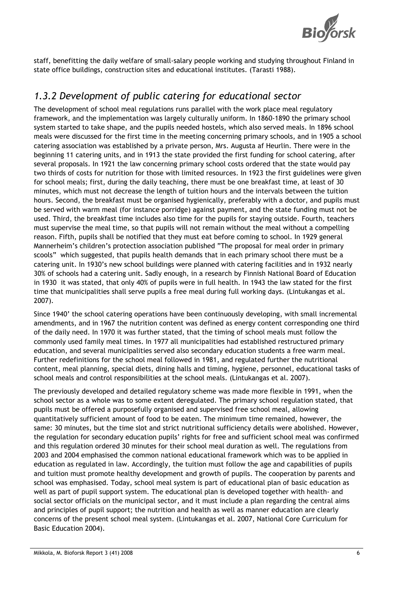

staff, benefitting the daily welfare of small-salary people working and studying throughout Finland in state office buildings, construction sites and educational institutes. (Tarasti 1988).

#### 1.3.2 Development of public catering for educational sector

The development of school meal regulations runs parallel with the work place meal regulatory framework, and the implementation was largely culturally uniform. In 1860-1890 the primary school system started to take shape, and the pupils needed hostels, which also served meals. In 1896 school meals were discussed for the first time in the meeting concerning primary schools, and in 1905 a school catering association was established by a private person, Mrs. Augusta af Heurlin. There were in the beginning 11 catering units, and in 1913 the state provided the first funding for school catering, after several proposals. In 1921 the law concerning primary school costs ordered that the state would pay two thirds of costs for nutrition for those with limited resources. In 1923 the first guidelines were given for school meals; first, during the daily teaching, there must be one breakfast time, at least of 30 minutes, which must not decrease the length of tuition hours and the intervals between the tuition hours. Second, the breakfast must be organised hygienically, preferably with a doctor, and pupils must be served with warm meal (for instance porridge) against payment, and the state funding must not be used. Third, the breakfast time includes also time for the pupils for staying outside. Fourth, teachers must supervise the meal time, so that pupils will not remain without the meal without a compelling reason. Fifth, pupils shall be notified that they must eat before coming to school. In 1929 general Mannerheim's children's protection association published "The proposal for meal order in primary scools" which suggested, that pupils health demands that in each primary school there must be a catering unit. In 1930's new school buildings were planned with catering facilities and in 1932 nearly 30% of schools had a catering unit. Sadly enough, in a research by Finnish National Board of Education in 1930 it was stated, that only 40% of pupils were in full health. In 1943 the law stated for the first time that municipalities shall serve pupils a free meal during full working days. (Lintukangas et al. 2007).

Since 1940' the school catering operations have been continuously developing, with small incremental amendments, and in 1967 the nutrition content was defined as energy content corresponding one third of the daily need. In 1970 it was further stated, that the timing of school meals must follow the commonly used family meal times. In 1977 all municipalities had established restructured primary education, and several municipalities served also secondary education students a free warm meal. Further redefinitions for the school meal followed in 1981, and regulated further the nutritional content, meal planning, special diets, dining halls and timing, hygiene, personnel, educational tasks of school meals and control responsibilities at the school meals. (Lintukangas et al. 2007).

The previously developed and detailed regulatory scheme was made more flexible in 1991, when the school sector as a whole was to some extent deregulated. The primary school regulation stated, that pupils must be offered a purposefully organised and supervised free school meal, allowing quantitatively sufficient amount of food to be eaten. The minimum time remained, however, the same: 30 minutes, but the time slot and strict nutritional sufficiency details were abolished. However, the regulation for secondary education pupils' rights for free and sufficient school meal was confirmed and this regulation ordered 30 minutes for their school meal duration as well. The regulations from 2003 and 2004 emphasised the common national educational framework which was to be applied in education as regulated in law. Accordingly, the tuition must follow the age and capabilities of pupils and tuition must promote healthy development and growth of pupils. The cooperation by parents and school was emphasised. Today, school meal system is part of educational plan of basic education as well as part of pupil support system. The educational plan is developed together with health- and social sector officials on the municipal sector, and it must include a plan regarding the central aims and principles of pupil support; the nutrition and health as well as manner education are clearly concerns of the present school meal system. (Lintukangas et al. 2007, National Core Curriculum for Basic Education 2004).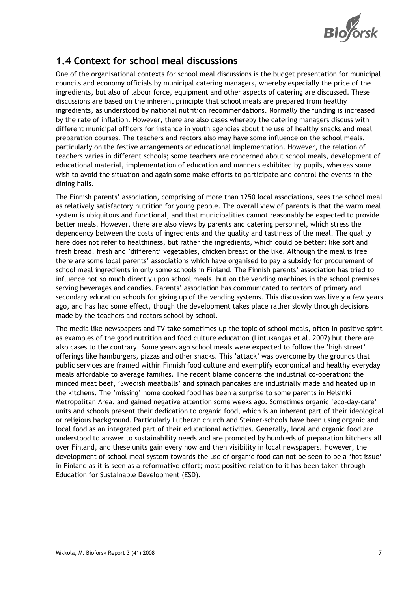

### 1.4 Context for school meal discussions

One of the organisational contexts for school meal discussions is the budget presentation for municipal councils and economy officials by municipal catering managers, whereby especially the price of the ingredients, but also of labour force, equipment and other aspects of catering are discussed. These discussions are based on the inherent principle that school meals are prepared from healthy ingredients, as understood by national nutrition recommendations. Normally the funding is increased by the rate of inflation. However, there are also cases whereby the catering managers discuss with different municipal officers for instance in youth agencies about the use of healthy snacks and meal preparation courses. The teachers and rectors also may have some influence on the school meals, particularly on the festive arrangements or educational implementation. However, the relation of teachers varies in different schools; some teachers are concerned about school meals, development of educational material, implementation of education and manners exhibited by pupils, whereas some wish to avoid the situation and again some make efforts to participate and control the events in the dining halls.

The Finnish parents' association, comprising of more than 1250 local associations, sees the school meal as relatively satisfactory nutrition for young people. The overall view of parents is that the warm meal system is ubiquitous and functional, and that municipalities cannot reasonably be expected to provide better meals. However, there are also views by parents and catering personnel, which stress the dependency between the costs of ingredients and the quality and tastiness of the meal. The quality here does not refer to healthiness, but rather the ingredients, which could be better; like soft and fresh bread, fresh and 'different' vegetables, chicken breast or the like. Although the meal is free there are some local parents' associations which have organised to pay a subsidy for procurement of school meal ingredients in only some schools in Finland. The Finnish parents' association has tried to influence not so much directly upon school meals, but on the vending machines in the school premises serving beverages and candies. Parents' association has communicated to rectors of primary and secondary education schools for giving up of the vending systems. This discussion was lively a few years ago, and has had some effect, though the development takes place rather slowly through decisions made by the teachers and rectors school by school.

The media like newspapers and TV take sometimes up the topic of school meals, often in positive spirit as examples of the good nutrition and food culture education (Lintukangas et al. 2007) but there are also cases to the contrary. Some years ago school meals were expected to follow the 'high street' offerings like hamburgers, pizzas and other snacks. This 'attack' was overcome by the grounds that public services are framed within Finnish food culture and exemplify economical and healthy everyday meals affordable to average families. The recent blame concerns the industrial co-operation: the minced meat beef, 'Swedish meatballs' and spinach pancakes are industrially made and heated up in the kitchens. The 'missing' home cooked food has been a surprise to some parents in Helsinki Metropolitan Area, and gained negative attention some weeks ago. Sometimes organic 'eco-day-care' units and schools present their dedication to organic food, which is an inherent part of their ideological or religious background. Particularly Lutheran church and Steiner-schools have been using organic and local food as an integrated part of their educational activities. Generally, local and organic food are understood to answer to sustainability needs and are promoted by hundreds of preparation kitchens all over Finland, and these units gain every now and then visibility in local newspapers. However, the development of school meal system towards the use of organic food can not be seen to be a 'hot issue' in Finland as it is seen as a reformative effort; most positive relation to it has been taken through Education for Sustainable Development (ESD).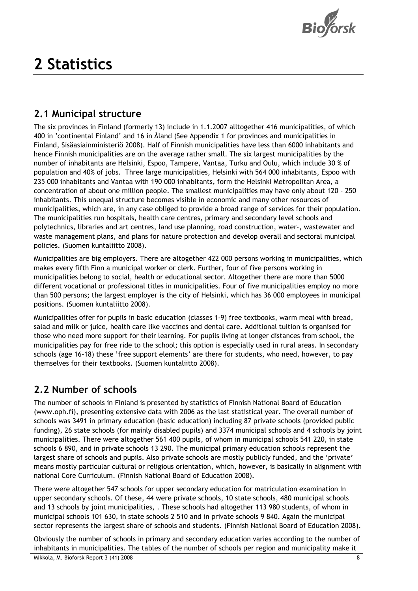

# 2 Statistics

### 2.1 Municipal structure

The six provinces in Finland (formerly 13) include in 1.1.2007 alltogether 416 municipalities, of which 400 in 'continental Finland' and 16 in Åland (See Appendix 1 for provinces and municipalities in Finland, Sisäasiainministeriö 2008). Half of Finnish municipalities have less than 6000 inhabitants and hence Finnish municipalities are on the average rather small. The six largest municipalities by the number of inhabitants are Helsinki, Espoo, Tampere, Vantaa, Turku and Oulu, which include 30 % of population and 40% of jobs. Three large municipalities, Helsinki with 564 000 inhabitants, Espoo with 235 000 inhabitants and Vantaa with 190 000 inhabitants, form the Helsinki Metropolitan Area, a concentration of about one million people. The smallest municipalities may have only about 120 - 250 inhabitants. This unequal structure becomes visible in economic and many other resources of municipalities, which are, in any case obliged to provide a broad range of services for their population. The municipalities run hospitals, health care centres, primary and secondary level schools and polytechnics, libraries and art centres, land use planning, road construction, water-, wastewater and waste management plans, and plans for nature protection and develop overall and sectoral municipal policies. (Suomen kuntaliitto 2008).

Municipalities are big employers. There are altogether 422 000 persons working in municipalities, which makes every fifth Finn a municipal worker or clerk. Further, four of five persons working in municipalities belong to social, health or educational sector. Altogether there are more than 5000 different vocational or professional titles in municipalities. Four of five municipalities employ no more than 500 persons; the largest employer is the city of Helsinki, which has 36 000 employees in municipal positions. (Suomen kuntaliitto 2008).

Municipalities offer for pupils in basic education (classes 1-9) free textbooks, warm meal with bread, salad and milk or juice, health care like vaccines and dental care. Additional tuition is organised for those who need more support for their learning. For pupils living at longer distances from school, the municipalities pay for free ride to the school; this option is especially used in rural areas. In secondary schools (age 16-18) these 'free support elements' are there for students, who need, however, to pay themselves for their textbooks. (Suomen kuntaliitto 2008).

### 2.2 Number of schools

The number of schools in Finland is presented by statistics of Finnish National Board of Education (www.oph.fi), presenting extensive data with 2006 as the last statistical year. The overall number of schools was 3491 in primary education (basic education) including 87 private schools (provided public funding), 26 state schools (for mainly disabled pupils) and 3374 municipal schools and 4 schools by joint municipalities. There were altogether 561 400 pupils, of whom in municipal schools 541 220, in state schools 6 890, and in private schools 13 290. The municipal primary education schools represent the largest share of schools and pupils. Also private schools are mostly publicly funded, and the 'private' means mostly particular cultural or religious orientation, which, however, is basically in alignment with national Core Curriculum. (Finnish National Board of Education 2008).

There were altogether 547 schools for upper secondary education for matriculation examination In upper secondary schools. Of these, 44 were private schools, 10 state schools, 480 municipal schools and 13 schools by joint municipalities, . These schools had altogether 113 980 students, of whom in municipal schools 101 630, in state schools 2 510 and in private schools 9 840. Again the municipal sector represents the largest share of schools and students. (Finnish National Board of Education 2008).

Obviously the number of schools in primary and secondary education varies according to the number of inhabitants in municipalities. The tables of the number of schools per region and municipality make it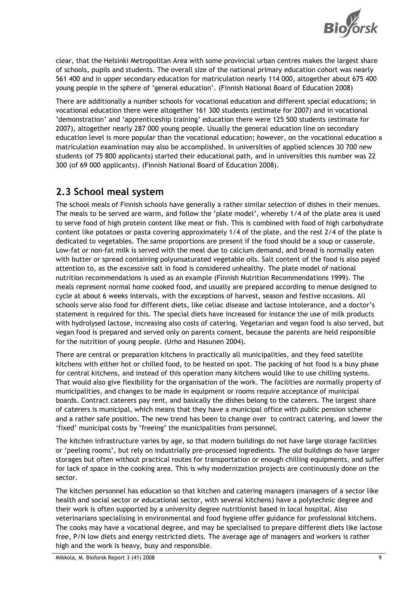

clear, that the Helsinki Metropolitan Area with some provincial urban centres makes the largest share of schools, pupils and students. The overall size of the national primary education cohort was nearly 561 400 and in upper secondary education for matriculation nearly 114 000, altogether about 675 400 young people in the sphere of 'general education'. (Finnish National Board of Education 2008)

There are additionally a number schools for vocational education and different special educations; in vocational education there were altogether 161 300 students (estimate for 2007) and in vocational 'demonstration' and 'apprenticeship training' education there were 125 500 students (estimate for 2007), altogether nearly 287 000 young people. Usually the general education line on secondary education level is more popular than the vocational education; however, on the vocational education a matriculation examination may also be accomplished. In universities of applied sciences 30 700 new students (of 75 800 applicants) started their educational path, and in universities this number was 22 300 (of 69 000 applicants). (Finnish National Board of Education 2008).

### 2.3 School meal system

The school meals of Finnish schools have generally a rather similar selection of dishes in their menues. The meals to be served are warm, and follow the 'plate model', whereby 1/4 of the plate area is used to serve food of high protein content like meat or fish. This is combined with food of high carbohydrate content like potatoes or pasta covering approximately 1/4 of the plate, and the rest 2/4 of the plate is dedicated to vegetables. The same proportions are present if the food should be a soup or casserole. Low-fat or non-fat milk is served with the meal due to calcium demand, and bread is normally eaten with butter or spread containing polyunsaturated vegetable oils. Salt content of the food is also payed attention to, as the excessive salt in food is considered unhealthy. The plate model of national nutrition recommendations is used as an example (Finnish Nutrition Recommendations 1999). The meals represent normal home cooked food, and usually are prepared according to menue designed to cycle at about 6 weeks intervals, with the exceptions of harvest, season and festive occasions. All schools serve also food for different diets, like celiac disease and lactose intolerance, and a doctor's statement is required for this. The special diets have increased for instance the use of milk products with hydrolysed lactose, increasing also costs of catering. Vegetarian and vegan food is also served, but vegan food is prepared and served only on parents consent, because the parents are held responsible for the nutrition of young people. (Urho and Hasunen 2004).

There are central or preparation kitchens in practically all municipalities, and they feed satellite kitchens with either hot or chilled food, to be heated on spot. The packing of hot food is a busy phase for central kitchens, and instead of this operation many kitchens would like to use chilling systems. That would also give flexibility for the organisation of the work. The facilities are normally property of municipalities, and changes to be made in equipment or rooms require acceptance of municipal boards. Contract caterers pay rent, and basically the dishes belong to the caterers. The largest share of caterers is municipal, which means that they have a municipal office with public pension scheme and a rather safe position. The new trend has been to change over to contract catering, and lower the 'fixed' municipal costs by 'freeing' the municipalities from personnel.

The kitchen infrastructure varies by age, so that modern buildings do not have large storage facilities or 'peeling rooms', but rely on industrially pre-processed ingredients. The old buildings do have larger storages but often without practical routes for transportation or enough chilling equipments, and suffer for lack of space in the cooking area. This is why modernization projects are continuously done on the sector.

The kitchen personnel has education so that kitchen and catering managers (managers of a sector like health and social sector or educational sector, with several kitchens) have a polytechnic degree and their work is often supported by a university degree nutritionist based in local hospital. Also veterinarians specialising in environmental and food hygiene offer guidance for professional kitchens. The cooks may have a vocational degree, and may be specialised to prepare different diets like lactose free, P/N low diets and energy restricted diets. The average age of managers and workers is rather high and the work is heavy, busy and responsible.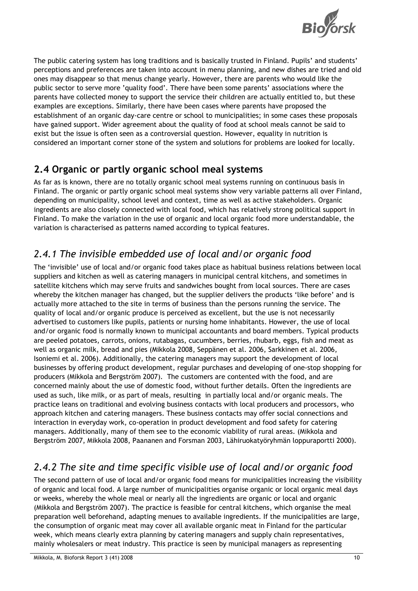

The public catering system has long traditions and is basically trusted in Finland. Pupils' and students' perceptions and preferences are taken into account in menu planning, and new dishes are tried and old ones may disappear so that menus change yearly. However, there are parents who would like the public sector to serve more 'quality food'. There have been some parents' associations where the parents have collected money to support the service their children are actually entitled to, but these examples are exceptions. Similarly, there have been cases where parents have proposed the establishment of an organic day-care centre or school to municipalities; in some cases these proposals have gained support. Wider agreement about the quality of food at school meals cannot be said to exist but the issue is often seen as a controversial question. However, equality in nutrition is considered an important corner stone of the system and solutions for problems are looked for locally.

### 2.4 Organic or partly organic school meal systems

As far as is known, there are no totally organic school meal systems running on continuous basis in Finland. The organic or partly organic school meal systems show very variable patterns all over Finland, depending on municipality, school level and context, time as well as active stakeholders. Organic ingredients are also closely connected with local food, which has relatively strong political support in Finland. To make the variation in the use of organic and local organic food more understandable, the variation is characterised as patterns named according to typical features.

### 2.4.1 The invisible embedded use of local and/or organic food

The 'invisible' use of local and/or organic food takes place as habitual business relations between local suppliers and kitchen as well as catering managers in municipal central kitchens, and sometimes in satellite kitchens which may serve fruits and sandwiches bought from local sources. There are cases whereby the kitchen manager has changed, but the supplier delivers the products 'like before' and is actually more attached to the site in terms of business than the persons running the service. The quality of local and/or organic produce is perceived as excellent, but the use is not necessarily advertised to customers like pupils, patients or nursing home inhabitants. However, the use of local and/or organic food is normally known to municipal accountants and board members. Typical products are peeled potatoes, carrots, onions, rutabagas, cucumbers, berries, rhubarb, eggs, fish and meat as well as organic milk, bread and pies (Mikkola 2008, Seppänen et al. 2006, Sarkkinen et al. 2006, Isoniemi et al. 2006). Additionally, the catering managers may support the development of local businesses by offering product development, regular purchases and developing of one-stop shopping for producers (Mikkola and Bergström 2007). The customers are contented with the food, and are concerned mainly about the use of domestic food, without further details. Often the ingredients are used as such, like milk, or as part of meals, resulting in partially local and/or organic meals. The practice leans on traditional and evolving business contacts with local producers and processors, who approach kitchen and catering managers. These business contacts may offer social connections and interaction in everyday work, co-operation in product development and food safety for catering managers. Additionally, many of them see to the economic viability of rural areas. (Mikkola and Bergström 2007, Mikkola 2008, Paananen and Forsman 2003, Lähiruokatyöryhmän loppuraportti 2000).

### 2.4.2 The site and time specific visible use of local and/or organic food

The second pattern of use of local and/or organic food means for municipalities increasing the visibility of organic and local food. A large number of municipalities organise organic or local organic meal days or weeks, whereby the whole meal or nearly all the ingredients are organic or local and organic (Mikkola and Bergström 2007). The practice is feasible for central kitchens, which organise the meal preparation well beforehand, adapting menues to available ingredients. If the municipalities are large, the consumption of organic meat may cover all available organic meat in Finland for the particular week, which means clearly extra planning by catering managers and supply chain representatives, mainly wholesalers or meat industry. This practice is seen by municipal managers as representing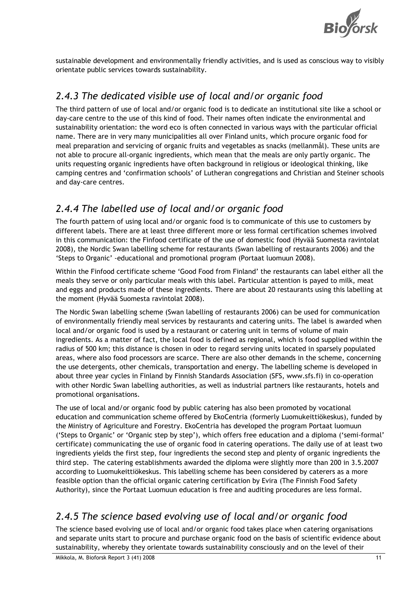

sustainable development and environmentally friendly activities, and is used as conscious way to visibly orientate public services towards sustainability.

### 2.4.3 The dedicated visible use of local and/or organic food

The third pattern of use of local and/or organic food is to dedicate an institutional site like a school or day-care centre to the use of this kind of food. Their names often indicate the environmental and sustainability orientation: the word eco is often connected in various ways with the particular official name. There are in very many municipalities all over Finland units, which procure organic food for meal preparation and servicing of organic fruits and vegetables as snacks (mellanmål). These units are not able to procure all-organic ingredients, which mean that the meals are only partly organic. The units requesting organic ingredients have often background in religious or ideological thinking, like camping centres and 'confirmation schools' of Lutheran congregations and Christian and Steiner schools and day-care centres.

### 2.4.4 The labelled use of local and/or organic food

The fourth pattern of using local and/or organic food is to communicate of this use to customers by different labels. There are at least three different more or less formal certification schemes involved in this communication: the Finfood certificate of the use of domestic food (Hyvää Suomesta ravintolat 2008), the Nordic Swan labelling scheme for restaurants (Swan labelling of restaurants 2006) and the 'Steps to Organic' -educational and promotional program (Portaat luomuun 2008).

Within the Finfood certificate scheme 'Good Food from Finland' the restaurants can label either all the meals they serve or only particular meals with this label. Particular attention is payed to milk, meat and eggs and products made of these ingredients. There are about 20 restaurants using this labelling at the moment (Hyvää Suomesta ravintolat 2008).

The Nordic Swan labelling scheme (Swan labelling of restaurants 2006) can be used for communication of environmentally friendly meal services by restaurants and catering units. The label is awarded when local and/or organic food is used by a restaurant or catering unit in terms of volume of main ingredients. As a matter of fact, the local food is defined as regional, which is food supplied within the radius of 500 km; this distance is chosen in oder to regard serving units located in sparsely populated areas, where also food processors are scarce. There are also other demands in the scheme, concerning the use detergents, other chemicals, transportation and energy. The labelling scheme is developed in about three year cycles in Finland by Finnish Standards Association (SFS, www.sfs.fi) in co-operation with other Nordic Swan labelling authorities, as well as industrial partners like restaurants, hotels and promotional organisations.

The use of local and/or organic food by public catering has also been promoted by vocational education and communication scheme offered by EkoCentria (formerly Luomukeittiökeskus), funded by the Ministry of Agriculture and Forestry. EkoCentria has developed the program Portaat luomuun ('Steps to Organic' or 'Organic step by step'), which offers free education and a diploma ('semi-formal' certificate) communicating the use of organic food in catering operations. The daily use of at least two ingredients yields the first step, four ingredients the second step and plenty of organic ingredients the third step. The catering establishments awarded the diploma were slightly more than 200 in 3.5.2007 according to Luomukeittiökeskus. This labelling scheme has been considered by caterers as a more feasible option than the official organic catering certification by Evira (The Finnish Food Safety Authority), since the Portaat Luomuun education is free and auditing procedures are less formal.

### 2.4.5 The science based evolving use of local and/or organic food

The science based evolving use of local and/or organic food takes place when catering organisations and separate units start to procure and purchase organic food on the basis of scientific evidence about sustainability, whereby they orientate towards sustainability consciously and on the level of their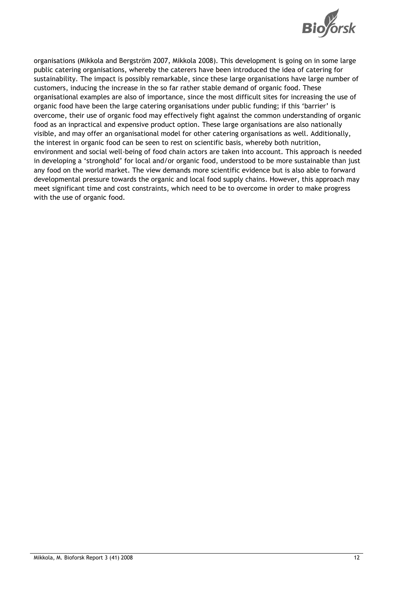

organisations (Mikkola and Bergström 2007, Mikkola 2008). This development is going on in some large public catering organisations, whereby the caterers have been introduced the idea of catering for sustainability. The impact is possibly remarkable, since these large organisations have large number of customers, inducing the increase in the so far rather stable demand of organic food. These organisational examples are also of importance, since the most difficult sites for increasing the use of organic food have been the large catering organisations under public funding; if this 'barrier' is overcome, their use of organic food may effectively fight against the common understanding of organic food as an inpractical and expensive product option. These large organisations are also nationally visible, and may offer an organisational model for other catering organisations as well. Additionally, the interest in organic food can be seen to rest on scientific basis, whereby both nutrition, environment and social well-being of food chain actors are taken into account. This approach is needed in developing a 'stronghold' for local and/or organic food, understood to be more sustainable than just any food on the world market. The view demands more scientific evidence but is also able to forward developmental pressure towards the organic and local food supply chains. However, this approach may meet significant time and cost constraints, which need to be to overcome in order to make progress with the use of organic food.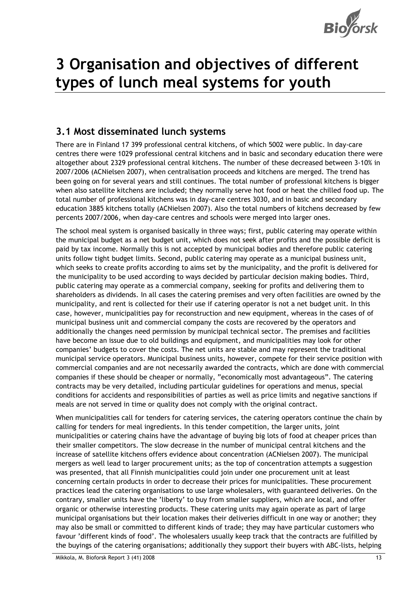

## 3 Organisation and objectives of different types of lunch meal systems for youth

### 3.1 Most disseminated lunch systems

There are in Finland 17 399 professional central kitchens, of which 5002 were public. In day-care centres there were 1029 professional central kitchens and in basic and secondary education there were altogether about 2329 professional central kitchens. The number of these decreased between 3-10% in 2007/2006 (ACNielsen 2007), when centralisation proceeds and kitchens are merged. The trend has been going on for several years and still continues. The total number of professional kitchens is bigger when also satellite kitchens are included; they normally serve hot food or heat the chilled food up. The total number of professional kitchens was in day-care centres 3030, and in basic and secondary education 3885 kitchens totally (ACNielsen 2007). Also the total numbers of kitchens decreased by few percents 2007/2006, when day-care centres and schools were merged into larger ones.

The school meal system is organised basically in three ways; first, public catering may operate within the municipal budget as a net budget unit, which does not seek after profits and the possible deficit is paid by tax income. Normally this is not accepted by municipal bodies and therefore public catering units follow tight budget limits. Second, public catering may operate as a municipal business unit, which seeks to create profits according to aims set by the municipality, and the profit is delivered for the municipality to be used according to ways decided by particular decision making bodies. Third, public catering may operate as a commercial company, seeking for profits and delivering them to shareholders as dividends. In all cases the catering premises and very often facilities are owned by the municipality, and rent is collected for their use if catering operator is not a net budget unit. In this case, however, municipalities pay for reconstruction and new equipment, whereas in the cases of of municipal business unit and commercial company the costs are recovered by the operators and additionally the changes need permission by municipal technical sector. The premises and facilities have become an issue due to old buildings and equipment, and municipalities may look for other companies' budgets to cover the costs. The net units are stable and may represent the traditional municipal service operators. Municipal business units, however, compete for their service position with commercial companies and are not necessarily awarded the contracts, which are done with commercial companies if these should be cheaper or normally, "economically most advantageous". The catering contracts may be very detailed, including particular guidelines for operations and menus, special conditions for accidents and responsibilities of parties as well as price limits and negative sanctions if meals are not served in time or quality does not comply with the original contract.

When municipalities call for tenders for catering services, the catering operators continue the chain by calling for tenders for meal ingredients. In this tender competition, the larger units, joint municipalities or catering chains have the advantage of buying big lots of food at cheaper prices than their smaller competitors. The slow decrease in the number of municipal central kitchens and the increase of satellite kitchens offers evidence about concentration (ACNielsen 2007). The municipal mergers as well lead to larger procurement units; as the top of concentration attempts a suggestion was presented, that all Finnish municipalities could join under one procurement unit at least concerning certain products in order to decrease their prices for municipalities. These procurement practices lead the catering organisations to use large wholesalers, with guaranteed deliveries. On the contrary, smaller units have the 'liberty' to buy from smaller suppliers, which are local, and offer organic or otherwise interesting products. These catering units may again operate as part of large municipal organisations but their location makes their deliveries difficult in one way or another; they may also be small or committed to different kinds of trade; they may have particular customers who favour 'different kinds of food'. The wholesalers usually keep track that the contracts are fulfilled by the buyings of the catering organisations; additionally they support their buyers with ABC-lists, helping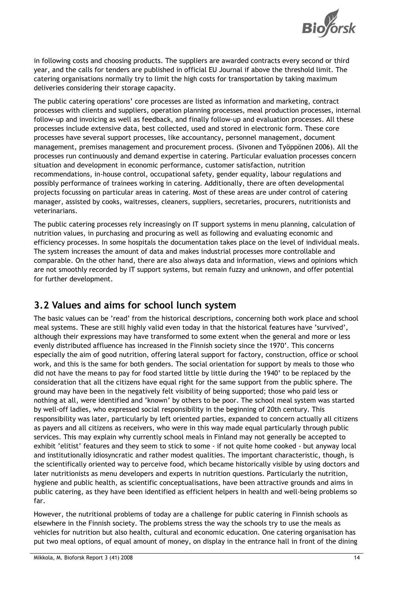

in following costs and choosing products. The suppliers are awarded contracts every second or third year, and the calls for tenders are published in official EU Journal if above the threshold limit. The catering organisations normally try to limit the high costs for transportation by taking maximum deliveries considering their storage capacity.

The public catering operations' core processes are listed as information and marketing, contract processes with clients and suppliers, operation planning processes, meal production processes, internal follow-up and invoicing as well as feedback, and finally follow-up and evaluation processes. All these processes include extensive data, best collected, used and stored in electronic form. These core processes have several support processes, like accountancy, personnel management, document management, premises management and procurement process. (Sivonen and Työppönen 2006). All the processes run continuously and demand expertise in catering. Particular evaluation processes concern situation and development in economic performance, customer satisfaction, nutrition recommendations, in-house control, occupational safety, gender equality, labour regulations and possibly performance of trainees working in catering. Additionally, there are often developmental projects focussing on particular areas in catering. Most of these areas are under control of catering manager, assisted by cooks, waitresses, cleaners, suppliers, secretaries, procurers, nutritionists and veterinarians.

The public catering processes rely increasingly on IT support systems in menu planning, calculation of nutrition values, in purchasing and procuring as well as following and evaluating economic and efficiency processes. In some hospitals the documentation takes place on the level of individual meals. The system increases the amount of data and makes industrial processes more controllable and comparable. On the other hand, there are also always data and information, views and opinions which are not smoothly recorded by IT support systems, but remain fuzzy and unknown, and offer potential for further development.

#### 3.2 Values and aims for school lunch system

The basic values can be 'read' from the historical descriptions, concerning both work place and school meal systems. These are still highly valid even today in that the historical features have 'survived', although their expressions may have transformed to some extent when the general and more or less evenly distributed affluence has increased in the Finnish society since the 1970'. This concerns especially the aim of good nutrition, offering lateral support for factory, construction, office or school work, and this is the same for both genders. The social orientation for support by meals to those who did not have the means to pay for food started little by little during the 1940' to be replaced by the consideration that all the citizens have equal right for the same support from the public sphere. The ground may have been in the negatively felt visibility of being supported; those who paid less or nothing at all, were identified and 'known' by others to be poor. The school meal system was started by well-off ladies, who expressed social responsibility in the beginning of 20th century. This responsibility was later, particularly by left oriented parties, expanded to concern actually all citizens as payers and all citizens as receivers, who were in this way made equal particularly through public services. This may explain why currently school meals in Finland may not generally be accepted to exhibit 'elitist' features and they seem to stick to some - if not quite home cooked - but anyway local and institutionally idiosyncratic and rather modest qualities. The important characteristic, though, is the scientifically oriented way to perceive food, which became historically visible by using doctors and later nutritionists as menu developers and experts in nutrition questions. Particularly the nutrition, hygiene and public health, as scientific conceptualisations, have been attractive grounds and aims in public catering, as they have been identified as efficient helpers in health and well-being problems so far.

However, the nutritional problems of today are a challenge for public catering in Finnish schools as elsewhere in the Finnish society. The problems stress the way the schools try to use the meals as vehicles for nutrition but also health, cultural and economic education. One catering organisation has put two meal options, of equal amount of money, on display in the entrance hall in front of the dining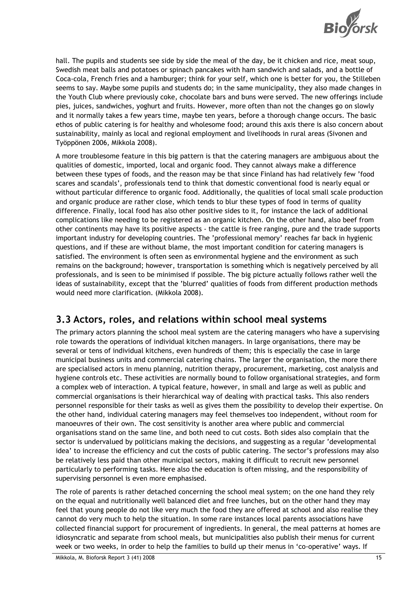

hall. The pupils and students see side by side the meal of the day, be it chicken and rice, meat soup, Swedish meat balls and potatoes or spinach pancakes with ham sandwich and salads, and a bottle of Coca-cola, French fries and a hamburger; think for your self, which one is better for you, the Stilleben seems to say. Maybe some pupils and students do; in the same municipality, they also made changes in the Youth Club where previously coke, chocolate bars and buns were served. The new offerings include pies, juices, sandwiches, yoghurt and fruits. However, more often than not the changes go on slowly and it normally takes a few years time, maybe ten years, before a thorough change occurs. The basic ethos of public catering is for healthy and wholesome food; around this axis there is also concern about sustainability, mainly as local and regional employment and livelihoods in rural areas (Sivonen and Työppönen 2006, Mikkola 2008).

A more troublesome feature in this big pattern is that the catering managers are ambiguous about the qualities of domestic, imported, local and organic food. They cannot always make a difference between these types of foods, and the reason may be that since Finland has had relatively few 'food scares and scandals', professionals tend to think that domestic conventional food is nearly equal or without particular difference to organic food. Additionally, the qualities of local small scale production and organic produce are rather close, which tends to blur these types of food in terms of quality difference. Finally, local food has also other positive sides to it, for instance the lack of additional complications like needing to be registered as an organic kitchen. On the other hand, also beef from other continents may have its positive aspects - the cattle is free ranging, pure and the trade supports important industry for developing countries. The 'professional memory' reaches far back in hygienic questions, and if these are without blame, the most important condition for catering managers is satisfied. The environment is often seen as environmental hygiene and the environment as such remains on the background; however, transportation is something which is negatively perceived by all professionals, and is seen to be minimised if possible. The big picture actually follows rather well the ideas of sustainability, except that the 'blurred' qualities of foods from different production methods would need more clarification. (Mikkola 2008).

#### 3.3 Actors, roles, and relations within school meal systems

The primary actors planning the school meal system are the catering managers who have a supervising role towards the operations of individual kitchen managers. In large organisations, there may be several or tens of individual kitchens, even hundreds of them; this is especially the case in large municipal business units and commercial catering chains. The larger the organisation, the more there are specialised actors in menu planning, nutrition therapy, procurement, marketing, cost analysis and hygiene controls etc. These activities are normally bound to follow organisational strategies, and form a complex web of interaction. A typical feature, however, in small and large as well as public and commercial organisations is their hierarchical way of dealing with practical tasks. This also renders personnel responsible for their tasks as well as gives them the possibility to develop their expertise. On the other hand, individual catering managers may feel themselves too independent, without room for manoeuvres of their own. The cost sensitivity is another area where public and commercial organisations stand on the same line, and both need to cut costs. Both sides also complain that the sector is undervalued by politicians making the decisions, and suggesting as a regular 'developmental idea' to increase the efficiency and cut the costs of public catering. The sector's professions may also be relatively less paid than other municipal sectors, making it difficult to recruit new personnel particularly to performing tasks. Here also the education is often missing, and the responsibility of supervising personnel is even more emphasised.

The role of parents is rather detached concerning the school meal system; on the one hand they rely on the equal and nutritionally well balanced diet and free lunches, but on the other hand they may feel that young people do not like very much the food they are offered at school and also realise they cannot do very much to help the situation. In some rare instances local parents associations have collected financial support for procurement of ingredients. In general, the meal patterns at homes are idiosyncratic and separate from school meals, but municipalities also publish their menus for current week or two weeks, in order to help the families to build up their menus in 'co-operative' ways. If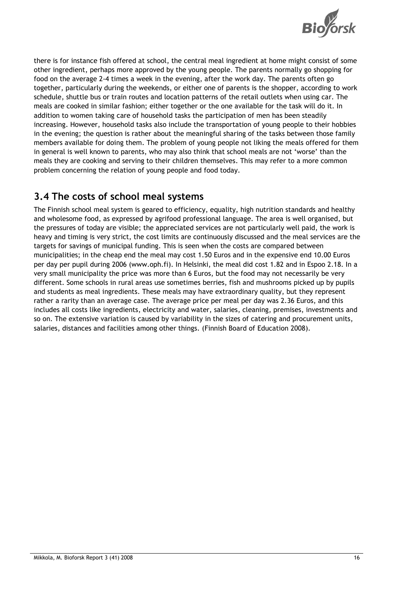

there is for instance fish offered at school, the central meal ingredient at home might consist of some other ingredient, perhaps more approved by the young people. The parents normally go shopping for food on the average 2-4 times a week in the evening, after the work day. The parents often go together, particularly during the weekends, or either one of parents is the shopper, according to work schedule, shuttle bus or train routes and location patterns of the retail outlets when using car. The meals are cooked in similar fashion; either together or the one available for the task will do it. In addition to women taking care of household tasks the participation of men has been steadily increasing. However, household tasks also include the transportation of young people to their hobbies in the evening; the question is rather about the meaningful sharing of the tasks between those family members available for doing them. The problem of young people not liking the meals offered for them in general is well known to parents, who may also think that school meals are not 'worse' than the meals they are cooking and serving to their children themselves. This may refer to a more common problem concerning the relation of young people and food today.

### 3.4 The costs of school meal systems

The Finnish school meal system is geared to efficiency, equality, high nutrition standards and healthy and wholesome food, as expressed by agrifood professional language. The area is well organised, but the pressures of today are visible; the appreciated services are not particularly well paid, the work is heavy and timing is very strict, the cost limits are continuously discussed and the meal services are the targets for savings of municipal funding. This is seen when the costs are compared between municipalities; in the cheap end the meal may cost 1.50 Euros and in the expensive end 10.00 Euros per day per pupil during 2006 (www.oph.fi). In Helsinki, the meal did cost 1.82 and in Espoo 2.18. In a very small municipality the price was more than 6 Euros, but the food may not necessarily be very different. Some schools in rural areas use sometimes berries, fish and mushrooms picked up by pupils and students as meal ingredients. These meals may have extraordinary quality, but they represent rather a rarity than an average case. The average price per meal per day was 2.36 Euros, and this includes all costs like ingredients, electricity and water, salaries, cleaning, premises, investments and so on. The extensive variation is caused by variability in the sizes of catering and procurement units, salaries, distances and facilities among other things. (Finnish Board of Education 2008).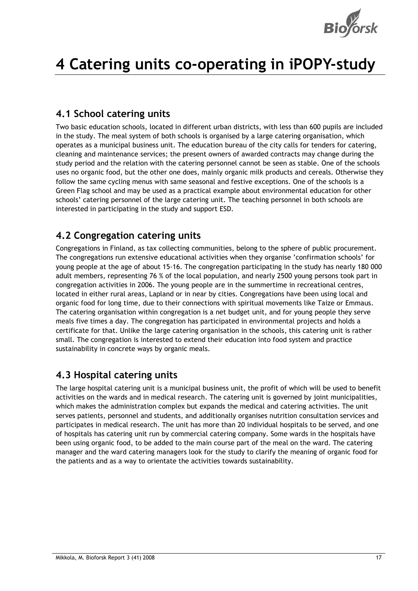

# 4 Catering units co-operating in iPOPY-study

#### 4.1 School catering units

Two basic education schools, located in different urban districts, with less than 600 pupils are included in the study. The meal system of both schools is organised by a large catering organisation, which operates as a municipal business unit. The education bureau of the city calls for tenders for catering, cleaning and maintenance services; the present owners of awarded contracts may change during the study period and the relation with the catering personnel cannot be seen as stable. One of the schools uses no organic food, but the other one does, mainly organic milk products and cereals. Otherwise they follow the same cycling menus with same seasonal and festive exceptions. One of the schools is a Green Flag school and may be used as a practical example about environmental education for other schools' catering personnel of the large catering unit. The teaching personnel in both schools are interested in participating in the study and support ESD.

### 4.2 Congregation catering units

Congregations in Finland, as tax collecting communities, belong to the sphere of public procurement. The congregations run extensive educational activities when they organise 'confirmation schools' for young people at the age of about 15-16. The congregation participating in the study has nearly 180 000 adult members, representing 76 % of the local population, and nearly 2500 young persons took part in congregation activities in 2006. The young people are in the summertime in recreational centres, located in either rural areas, Lapland or in near by cities. Congregations have been using local and organic food for long time, due to their connections with spiritual movements like Taize or Emmaus. The catering organisation within congregation is a net budget unit, and for young people they serve meals five times a day. The congregation has participated in environmental projects and holds a certificate for that. Unlike the large catering organisation in the schools, this catering unit is rather small. The congregation is interested to extend their education into food system and practice sustainability in concrete ways by organic meals.

### 4.3 Hospital catering units

The large hospital catering unit is a municipal business unit, the profit of which will be used to benefit activities on the wards and in medical research. The catering unit is governed by joint municipalities, which makes the administration complex but expands the medical and catering activities. The unit serves patients, personnel and students, and additionally organises nutrition consultation services and participates in medical research. The unit has more than 20 individual hospitals to be served, and one of hospitals has catering unit run by commercial catering company. Some wards in the hospitals have been using organic food, to be added to the main course part of the meal on the ward. The catering manager and the ward catering managers look for the study to clarify the meaning of organic food for the patients and as a way to orientate the activities towards sustainability.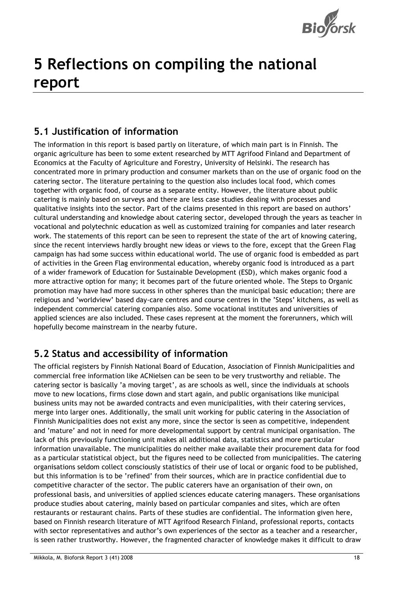

# 5 Reflections on compiling the national report

### 5.1 Justification of information

The information in this report is based partly on literature, of which main part is in Finnish. The organic agriculture has been to some extent researched by MTT Agrifood Finland and Department of Economics at the Faculty of Agriculture and Forestry, University of Helsinki. The research has concentrated more in primary production and consumer markets than on the use of organic food on the catering sector. The literature pertaining to the question also includes local food, which comes together with organic food, of course as a separate entity. However, the literature about public catering is mainly based on surveys and there are less case studies dealing with processes and qualitative insights into the sector. Part of the claims presented in this report are based on authors' cultural understanding and knowledge about catering sector, developed through the years as teacher in vocational and polytechnic education as well as customized training for companies and later research work. The statements of this report can be seen to represent the state of the art of knowing catering, since the recent interviews hardly brought new ideas or views to the fore, except that the Green Flag campaign has had some success within educational world. The use of organic food is embedded as part of activities in the Green Flag environmental education, whereby organic food is introduced as a part of a wider framework of Education for Sustainable Development (ESD), which makes organic food a more attractive option for many; it becomes part of the future oriented whole. The Steps to Organic promotion may have had more success in other spheres than the municipal basic education; there are religious and 'worldview' based day-care centres and course centres in the 'Steps' kitchens, as well as independent commercial catering companies also. Some vocational institutes and universities of applied sciences are also included. These cases represent at the moment the forerunners, which will hopefully become mainstream in the nearby future.

### 5.2 Status and accessibility of information

The official registers by Finnish National Board of Education, Association of Finnish Municipalities and commercial free information like ACNielsen can be seen to be very trustworthy and reliable. The catering sector is basically 'a moving target', as are schools as well, since the individuals at schools move to new locations, firms close down and start again, and public organisations like municipal business units may not be awarded contracts and even municipalities, with their catering services, merge into larger ones. Additionally, the small unit working for public catering in the Association of Finnish Municipalities does not exist any more, since the sector is seen as competitive, independent and 'mature' and not in need for more developmental support by central municipal organisation. The lack of this previously functioning unit makes all additional data, statistics and more particular information unavailable. The municipalities do neither make available their procurement data for food as a particular statistical object, but the figures need to be collected from municipalities. The catering organisations seldom collect consciously statistics of their use of local or organic food to be published, but this information is to be 'refined' from their sources, which are in practice confidential due to competitive character of the sector. The public caterers have an organisation of their own, on professional basis, and universities of applied sciences educate catering managers. These organisations produce studies about catering, mainly based on particular companies and sites, which are often restaurants or restaurant chains. Parts of these studies are confidential. The information given here, based on Finnish research literature of MTT Agrifood Research Finland, professional reports, contacts with sector representatives and author's own experiences of the sector as a teacher and a researcher, is seen rather trustworthy. However, the fragmented character of knowledge makes it difficult to draw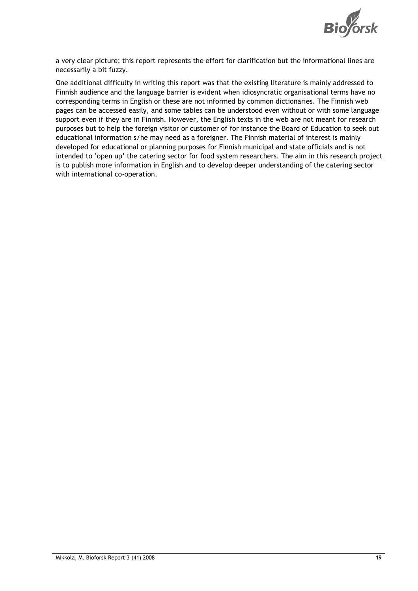

a very clear picture; this report represents the effort for clarification but the informational lines are necessarily a bit fuzzy.

One additional difficulty in writing this report was that the existing literature is mainly addressed to Finnish audience and the language barrier is evident when idiosyncratic organisational terms have no corresponding terms in English or these are not informed by common dictionaries. The Finnish web pages can be accessed easily, and some tables can be understood even without or with some language support even if they are in Finnish. However, the English texts in the web are not meant for research purposes but to help the foreign visitor or customer of for instance the Board of Education to seek out educational information s/he may need as a foreigner. The Finnish material of interest is mainly developed for educational or planning purposes for Finnish municipal and state officials and is not intended to 'open up' the catering sector for food system researchers. The aim in this research project is to publish more information in English and to develop deeper understanding of the catering sector with international co-operation.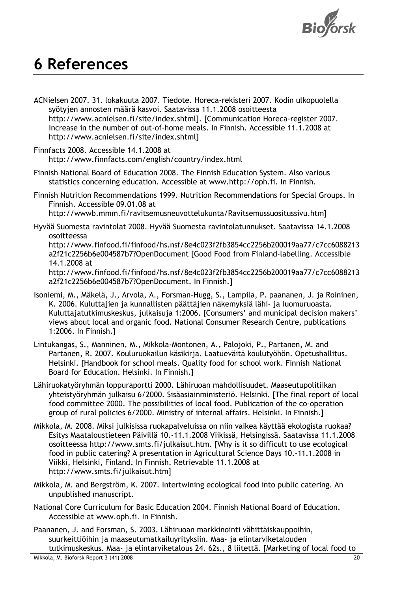

## 6 References

- ACNielsen 2007. 31. lokakuuta 2007. Tiedote. Horeca-rekisteri 2007. Kodin ulkopuolella syötyjen annosten määrä kasvoi. Saatavissa 11.1.2008 osoitteesta http://www.acnielsen.fi/site/index.shtml]. [Communication Horeca-register 2007. Increase in the number of out-of-home meals. In Finnish. Accessible 11.1.2008 at http://www.acnielsen.fi/site/index.shtml]
- Finnfacts 2008. Accessible 14.1.2008 at http://www.finnfacts.com/english/country/index.html
- Finnish National Board of Education 2008. The Finnish Education System. Also various statistics concerning education. Accessible at www.http://oph.fi. In Finnish.
- Finnish Nutrition Recommendations 1999. Nutrition Recommendations for Special Groups. In Finnish. Accessible 09.01.08 at

http://wwwb.mmm.fi/ravitsemusneuvottelukunta/Ravitsemussuositussivu.htm]

Hyvää Suomesta ravintolat 2008. Hyvää Suomesta ravintolatunnukset. Saatavissa 14.1.2008 osoitteessa

http://www.finfood.fi/finfood/hs.nsf/8e4c023f2fb3854cc2256b200019aa77/c7cc6088213 a2f21c2256b6e004587b7?OpenDocument [Good Food from Finland-labelling. Accessible 14.1.2008 at

http://www.finfood.fi/finfood/hs.nsf/8e4c023f2fb3854cc2256b200019aa77/c7cc6088213 a2f21c2256b6e004587b7?OpenDocument. In Finnish.]

- Isoniemi, M., Mäkelä, J., Arvola, A., Forsman-Hugg, S., Lampila, P. paananen, J. ja Roininen, K. 2006. Kuluttajien ja kunnallisten päättäjien näkemyksiä lähi- ja luomuruoasta. Kuluttajatutkimuskeskus, julkaisuja 1:2006. [Consumers' and municipal decision makers' views about local and organic food. National Consumer Research Centre, publications 1:2006. In Finnish.]
- Lintukangas, S., Manninen, M., Mikkola-Montonen, A., Palojoki, P., Partanen, M. and Partanen, R. 2007. Kouluruokailun käsikirja. Laatueväitä koulutyöhön. Opetushallitus. Helsinki. [Handbook for school meals. Quality food for school work. Finnish National Board for Education. Helsinki. In Finnish.]
- Lähiruokatyöryhmän loppuraportti 2000. Lähiruoan mahdollisuudet. Maaseutupolitiikan yhteistyöryhmän julkaisu 6/2000. Sisäasiainministeriö. Helsinki. [The final report of local food committee 2000. The possibilities of local food. Publication of the co-operation group of rural policies 6/2000. Ministry of internal affairs. Helsinki. In Finnish.]
- Mikkola, M. 2008. Miksi julkisissa ruokapalveluissa on niin vaikea käyttää ekologista ruokaa? Esitys Maataloustieteen Päivillä 10.-11.1.2008 Viikissä, Helsingissä. Saatavissa 11.1.2008 osoitteessa http://www.smts.fi/julkaisut.htm. [Why is it so difficult to use ecological food in public catering? A presentation in Agricultural Science Days 10.-11.1.2008 in Viikki, Helsinki, Finland. In Finnish. Retrievable 11.1.2008 at http://www.smts.fi/julkaisut.htm]
- Mikkola, M. and Bergström, K. 2007. Intertwining ecological food into public catering. An unpublished manuscript.
- National Core Curriculum for Basic Education 2004. Finnish National Board of Education. Accessible at www.oph.fi. In Finnish.
- Paananen, J. and Forsman, S. 2003. Lähiruoan markkinointi vähittäiskauppoihin, suurkeittiöihin ja maaseutumatkailuyrityksiin. Maa- ja elintarviketalouden tutkimuskeskus. Maa- ja elintarviketalous 24. 62s., 8 liitettä. [Marketing of local food to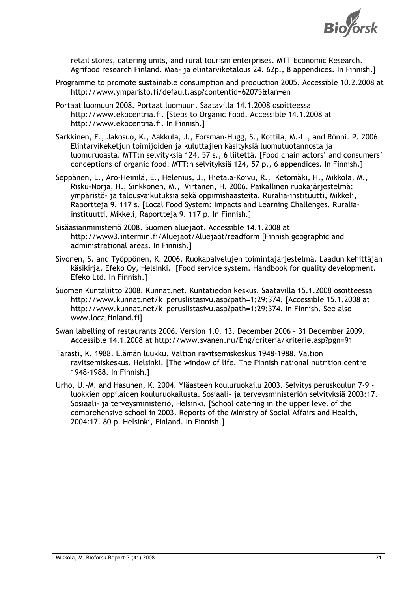

retail stores, catering units, and rural tourism enterprises. MTT Economic Research. Agrifood research Finland. Maa- ja elintarviketalous 24. 62p., 8 appendices. In Finnish.]

- Programme to promote sustainable consumption and production 2005. Accessible 10.2.2008 at http://www.ymparisto.fi/default.asp?contentid=62075&lan=en
- Portaat luomuun 2008. Portaat luomuun. Saatavilla 14.1.2008 osoitteessa http://www.ekocentria.fi. [Steps to Organic Food. Accessible 14.1.2008 at http://www.ekocentria.fi. In Finnish.]
- Sarkkinen, E., Jakosuo, K., Aakkula, J., Forsman-Hugg, S., Kottila, M.-L., and Rönni. P. 2006. Elintarvikeketjun toimijoiden ja kuluttajien käsityksiä luomutuotannosta ja luomuruoasta. MTT:n selvityksiä 124, 57 s., 6 liitettä. [Food chain actors' and consumers' conceptions of organic food. MTT:n selvityksiä 124, 57 p., 6 appendices. In Finnish.]
- Seppänen, L., Aro-Heinilä, E., Helenius, J., Hietala-Koivu, R., Ketomäki, H., Mikkola, M., Risku-Norja, H., Sinkkonen, M., Virtanen, H. 2006. Paikallinen ruokajärjestelmä: ympäristö- ja talousvaikutuksia sekä oppimishaasteita. Ruralia-instituutti, Mikkeli, Raportteja 9. 117 s. [Local Food System: Impacts and Learning Challenges. Ruraliainstituutti, Mikkeli, Raportteja 9. 117 p. In Finnish.]
- Sisäasianministeriö 2008. Suomen aluejaot. Accessible 14.1.2008 at http://www3.intermin.fi/Aluejaot/Aluejaot?readform [Finnish geographic and administrational areas. In Finnish.]
- Sivonen, S. and Työppönen, K. 2006. Ruokapalvelujen toimintajärjestelmä. Laadun kehittäjän käsikirja. Efeko Oy, Helsinki. [Food service system. Handbook for quality development. Efeko Ltd. In Finnish.]
- Suomen Kuntaliitto 2008. Kunnat.net. Kuntatiedon keskus. Saatavilla 15.1.2008 osoitteessa http://www.kunnat.net/k\_peruslistasivu.asp?path=1;29;374. [Accessible 15.1.2008 at http://www.kunnat.net/k\_peruslistasivu.asp?path=1;29;374. In Finnish. See also www.localfinland.fi]
- Swan labelling of restaurants 2006. Version 1.0. 13. December 2006 31 December 2009. Accessible 14.1.2008 at http://www.svanen.nu/Eng/criteria/kriterie.asp?pgn=91
- Tarasti, K. 1988. Elämän luukku. Valtion ravitsemiskeskus 1948-1988. Valtion ravitsemiskeskus. Helsinki. [The window of life. The Finnish national nutrition centre 1948-1988. In Finnish.]
- Urho, U.-M. and Hasunen, K. 2004. Yläasteen kouluruokailu 2003. Selvitys peruskoulun 7-9 luokkien oppilaiden kouluruokailusta. Sosiaali- ja terveysministeriön selvityksiä 2003:17. Sosiaali- ja terveysministeriö, Helsinki. [School catering in the upper level of the comprehensive school in 2003. Reports of the Ministry of Social Affairs and Health, 2004:17. 80 p. Helsinki, Finland. In Finnish.]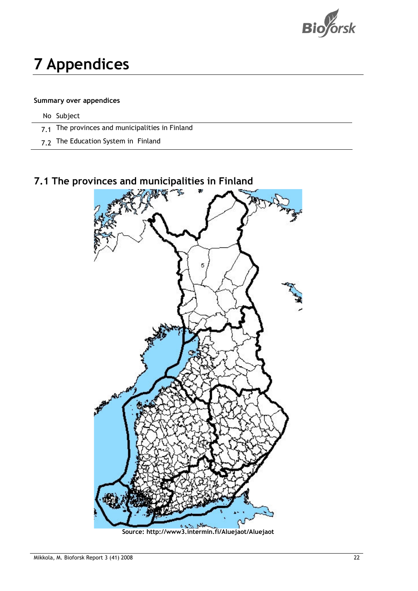

# 7 Appendices

#### Summary over appendices

No Subject

- 7.1 The provinces and municipalities in Finland
- 7.2 The Education System in Finland

### 7.1 The provinces and municipalities in Finland

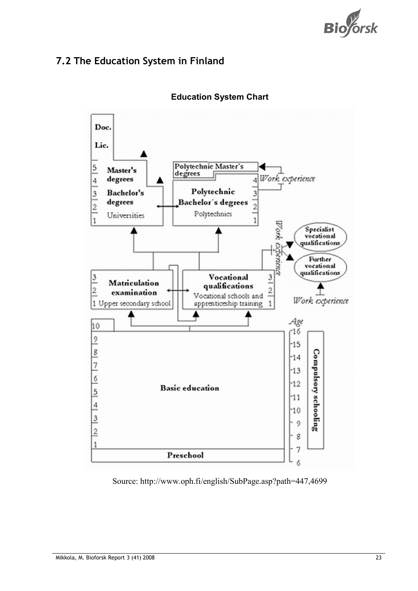

### 7.2 The Education System in Finland



Education System Chart

Source: http://www.oph.fi/english/SubPage.asp?path=447,4699